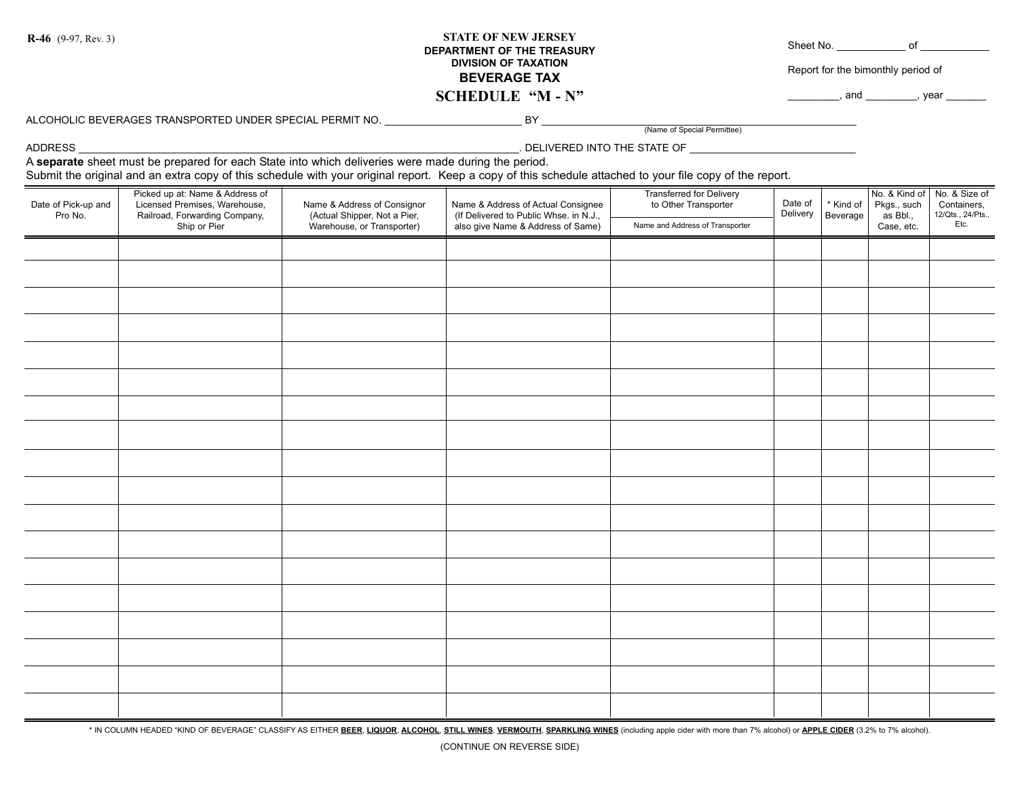## **STATE OF NEW JERSEY DEPARTMENT OF THE TREASURY DIVISION OF TAXATION BEVERAGE TAX SCHEDULE "M - N" R-46** (9-97, Rev. 3) Sheet No. \_\_\_\_\_\_\_\_\_\_\_\_ of \_\_\_\_\_\_\_\_\_\_\_\_

Report for the bimonthly period of

 $\Box$ , and  $\Box$ , year  $\Box$ 

ALCOHOLIC BEVERAGES TRANSPORTED UNDER SPECIAL PERMIT NO.

(Name of Special Permittee)

ADDRESS \_\_\_\_\_\_\_\_\_\_\_\_\_\_\_\_\_\_\_\_\_\_\_\_\_\_\_\_\_\_\_\_\_\_\_\_\_\_\_\_\_\_\_\_\_\_\_\_\_\_\_\_\_\_\_\_\_\_\_\_\_\_\_\_\_\_\_\_\_\_\_\_\_\_\_\_\_. DELIVERED INTO THE STATE OF \_\_\_\_\_\_\_\_\_\_\_\_\_\_\_\_\_\_\_\_\_\_\_\_\_\_\_\_\_

A **separate** sheet must be prepared for each State into which deliveries were made during the period.

Submit the original and an extra copy of this schedule with your original report. Keep a copy of this schedule attached to your file copy of the report.

| Date of Pick-up and<br>Pro No. | Picked up at: Name & Address of<br>Licensed Premises, Warehouse,<br>Railroad, Forwarding Company,<br>Ship or Pier | Name & Address of Consignor<br>(Actual Shipper, Not a Pier,<br>Warehouse, or Transporter) | Name & Address of Actual Consignee<br>(If Delivered to Public Whse. in N.J.,<br>also give Name & Address of Same) | Transferred for Delivery<br>to Other Transporter<br>Name and Address of Transporter | Date of<br>Delivery | * Kind of<br>Beverage | Pkgs., such<br>as Bbl.,<br>Case, etc. | No. & Kind of No. & Size of<br>Containers,<br>12/Qts., 24/Pts.,<br>$E$ <sub>tc</sub> . |
|--------------------------------|-------------------------------------------------------------------------------------------------------------------|-------------------------------------------------------------------------------------------|-------------------------------------------------------------------------------------------------------------------|-------------------------------------------------------------------------------------|---------------------|-----------------------|---------------------------------------|----------------------------------------------------------------------------------------|
|                                |                                                                                                                   |                                                                                           |                                                                                                                   |                                                                                     |                     |                       |                                       |                                                                                        |
|                                |                                                                                                                   |                                                                                           |                                                                                                                   |                                                                                     |                     |                       |                                       |                                                                                        |
|                                |                                                                                                                   |                                                                                           |                                                                                                                   |                                                                                     |                     |                       |                                       |                                                                                        |
|                                |                                                                                                                   |                                                                                           |                                                                                                                   |                                                                                     |                     |                       |                                       |                                                                                        |
|                                |                                                                                                                   |                                                                                           |                                                                                                                   |                                                                                     |                     |                       |                                       |                                                                                        |
|                                |                                                                                                                   |                                                                                           |                                                                                                                   |                                                                                     |                     |                       |                                       |                                                                                        |
|                                |                                                                                                                   |                                                                                           |                                                                                                                   |                                                                                     |                     |                       |                                       |                                                                                        |
|                                |                                                                                                                   |                                                                                           |                                                                                                                   |                                                                                     |                     |                       |                                       |                                                                                        |
|                                |                                                                                                                   |                                                                                           |                                                                                                                   |                                                                                     |                     |                       |                                       |                                                                                        |
|                                |                                                                                                                   |                                                                                           |                                                                                                                   |                                                                                     |                     |                       |                                       |                                                                                        |
|                                |                                                                                                                   |                                                                                           |                                                                                                                   |                                                                                     |                     |                       |                                       |                                                                                        |
|                                |                                                                                                                   |                                                                                           |                                                                                                                   |                                                                                     |                     |                       |                                       |                                                                                        |
|                                |                                                                                                                   |                                                                                           |                                                                                                                   |                                                                                     |                     |                       |                                       |                                                                                        |
|                                |                                                                                                                   |                                                                                           |                                                                                                                   |                                                                                     |                     |                       |                                       |                                                                                        |
|                                |                                                                                                                   |                                                                                           |                                                                                                                   |                                                                                     |                     |                       |                                       |                                                                                        |
|                                |                                                                                                                   |                                                                                           |                                                                                                                   |                                                                                     |                     |                       |                                       |                                                                                        |
|                                |                                                                                                                   |                                                                                           |                                                                                                                   |                                                                                     |                     |                       |                                       |                                                                                        |
|                                |                                                                                                                   |                                                                                           |                                                                                                                   |                                                                                     |                     |                       |                                       |                                                                                        |